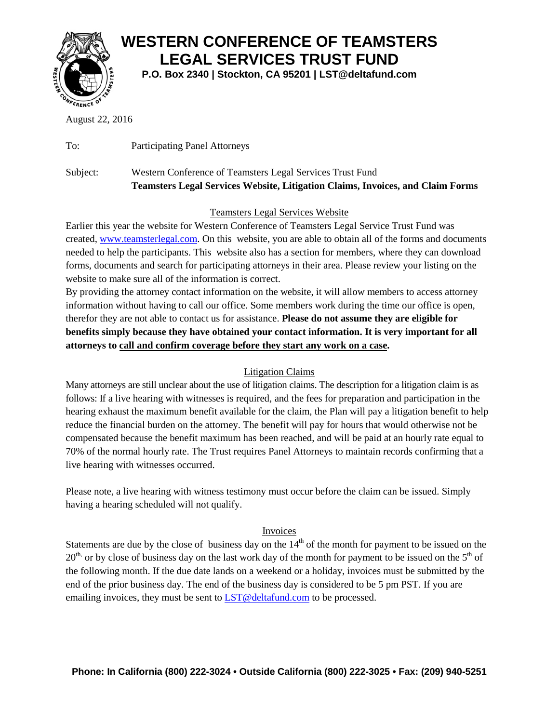

## **WESTERN CONFERENCE OF TEAMSTERS LEGAL SERVICES TRUST FUND**

**P.O. Box 2340 | Stockton, CA 95201 | LST@deltafund.com**

August 22, 2016

To: Participating Panel Attorneys

## Subject: Western Conference of Teamsters Legal Services Trust Fund **Teamsters Legal Services Website, Litigation Claims, Invoices, and Claim Forms**

### Teamsters Legal Services Website

Earlier this year the website for Western Conference of Teamsters Legal Service Trust Fund was created, [www.teamsterlegal.com.](http://www.teamsterlegal.com/) On this website, you are able to obtain all of the forms and documents needed to help the participants. This website also has a section for members, where they can download forms, documents and search for participating attorneys in their area. Please review your listing on the website to make sure all of the information is correct.

By providing the attorney contact information on the website, it will allow members to access attorney information without having to call our office. Some members work during the time our office is open, therefor they are not able to contact us for assistance. **Please do not assume they are eligible for benefits simply because they have obtained your contact information. It is very important for all attorneys to call and confirm coverage before they start any work on a case.** 

### Litigation Claims

Many attorneys are still unclear about the use of litigation claims. The description for a litigation claim is as follows: If a live hearing with witnesses is required, and the fees for preparation and participation in the hearing exhaust the maximum benefit available for the claim, the Plan will pay a litigation benefit to help reduce the financial burden on the attorney. The benefit will pay for hours that would otherwise not be compensated because the benefit maximum has been reached, and will be paid at an hourly rate equal to 70% of the normal hourly rate. The Trust requires Panel Attorneys to maintain records confirming that a live hearing with witnesses occurred.

Please note, a live hearing with witness testimony must occur before the claim can be issued. Simply having a hearing scheduled will not qualify.

#### Invoices

Statements are due by the close of business day on the  $14<sup>th</sup>$  of the month for payment to be issued on the  $20<sup>th</sup>$ , or by close of business day on the last work day of the month for payment to be issued on the  $5<sup>th</sup>$  of the following month. If the due date lands on a weekend or a holiday, invoices must be submitted by the end of the prior business day. The end of the business day is considered to be 5 pm PST. If you are emailing invoices, they must be sent to [LST@deltafund.com](mailto:LST@deltafund.com) to be processed.